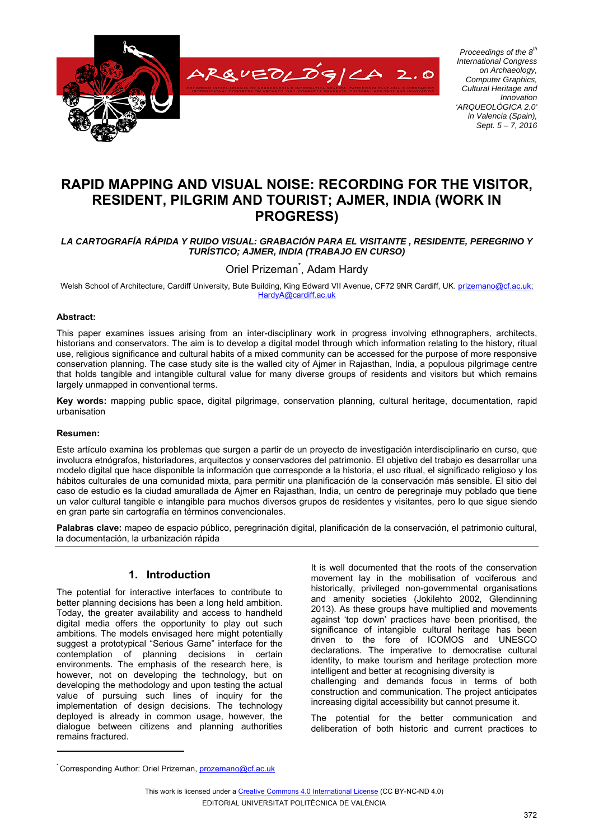

*Proceedings of the 8th International Congress on Archaeology, Computer Graphics, Cultural Heritage and Innovation 'ARQUEOLÓGICA 2.0' in Valencia (Spain), Sept. 5 – 7, 2016*

# **RAPID MAPPING AND VISUAL NOISE: RECORDING FOR THE VISITOR, RESIDENT, PILGRIM AND TOURIST; AJMER, INDIA (WORK IN PROGRESS)**

### *LA CARTOGRAFÍA RÁPIDA Y RUIDO VISUAL: GRABACIÓN PARA EL VISITANTE , RESIDENTE, PEREGRINO Y TURÍSTICO; AJMER, INDIA (TRABAJO EN CURSO)*

Oriel Prizeman<sup>\*</sup>, Adam Hardy

Welsh School of Architecture, Cardiff University, Bute Building, King Edward VII Avenue, CF72 9NR Cardiff, UK. prizemano@cf.ac.uk; HardyA@cardiff.ac.uk

### **Abstract:**

This paper examines issues arising from an inter-disciplinary work in progress involving ethnographers, architects, historians and conservators. The aim is to develop a digital model through which information relating to the history, ritual use, religious significance and cultural habits of a mixed community can be accessed for the purpose of more responsive conservation planning. The case study site is the walled city of Ajmer in Rajasthan, India, a populous pilgrimage centre that holds tangible and intangible cultural value for many diverse groups of residents and visitors but which remains largely unmapped in conventional terms.

**Key words:** mapping public space, digital pilgrimage, conservation planning, cultural heritage, documentation, rapid urbanisation

#### **Resumen:**

Este artículo examina los problemas que surgen a partir de un proyecto de investigación interdisciplinario en curso, que involucra etnógrafos, historiadores, arquitectos y conservadores del patrimonio. El objetivo del trabajo es desarrollar una modelo digital que hace disponible la información que corresponde a la historia, el uso ritual, el significado religioso y los hábitos culturales de una comunidad mixta, para permitir una planificación de la conservación más sensible. El sitio del caso de estudio es la ciudad amurallada de Ajmer en Rajasthan, India, un centro de peregrinaje muy poblado que tiene un valor cultural tangible e intangible para muchos diversos grupos de residentes y visitantes, pero lo que sigue siendo en gran parte sin cartografía en términos convencionales.

**Palabras clave:** mapeo de espacio público, peregrinación digital, planificación de la conservación, el patrimonio cultural, la documentación, la urbanización rápida

# **1. Introduction**

The potential for interactive interfaces to contribute to better planning decisions has been a long held ambition. Today, the greater availability and access to handheld digital media offers the opportunity to play out such ambitions. The models envisaged here might potentially suggest a prototypical "Serious Game" interface for the contemplation of planning decisions in certain environments. The emphasis of the research here, is however, not on developing the technology, but on developing the methodology and upon testing the actual value of pursuing such lines of inquiry for the implementation of design decisions. The technology deployed is already in common usage, however, the dialogue between citizens and planning authorities remains fractured.

It is well documented that the roots of the conservation movement lay in the mobilisation of vociferous and historically, privileged non-governmental organisations and amenity societies (Jokilehto 2002, Glendinning 2013). As these groups have multiplied and movements against 'top down' practices have been prioritised, the significance of intangible cultural heritage has been driven to the fore of ICOMOS and UNESCO declarations. The imperative to democratise cultural identity, to make tourism and heritage protection more intelligent and better at recognising diversity is challenging and demands focus in terms of both construction and communication. The project anticipates increasing digital accessibility but cannot presume it.

The potential for the better communication and deliberation of both historic and current practices to

This work is licensed under a Creative Commons 4.0 International License (CC BY-NC-ND 4.0) EDITORIAL UNIVERSITAT POLITÈCNICA DE VALÈNCIA

<sup>\*</sup> Corresponding Author: Oriel Prizeman, **prozemano@cf.ac.uk**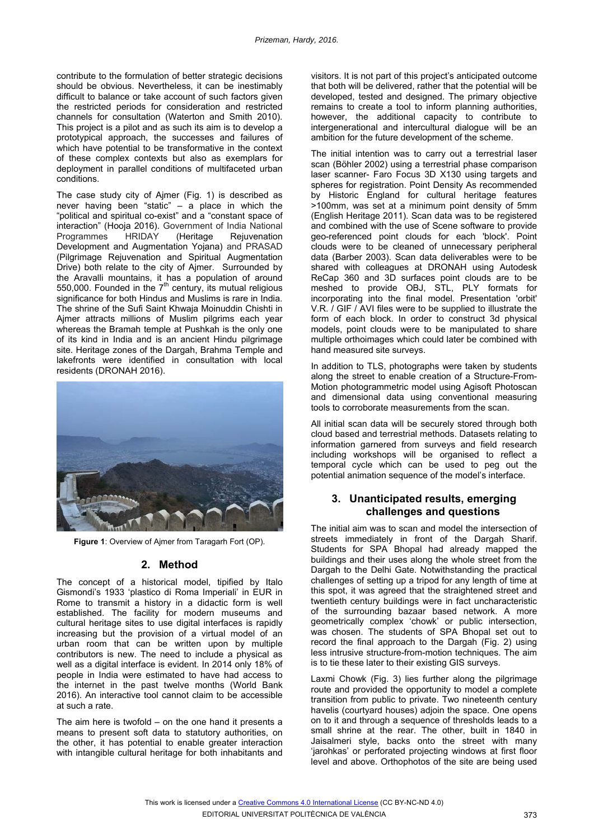contribute to the formulation of better strategic decisions should be obvious. Nevertheless, it can be inestimably difficult to balance or take account of such factors given the restricted periods for consideration and restricted channels for consultation (Waterton and Smith 2010). This project is a pilot and as such its aim is to develop a prototypical approach, the successes and failures of which have potential to be transformative in the context of these complex contexts but also as exemplars for deployment in parallel conditions of multifaceted urban conditions.

The case study city of Ajmer (Fig. 1) is described as never having been "static" – a place in which the "political and spiritual co-exist" and a "constant space of interaction" (Hooja 2016). Government of India National<br>Programmes HRIDAY (Heritage Rejuvenation Programmes HRIDAY (Heritage Rejuvenation Development and Augmentation Yojana) and PRASAD (Pilgrimage Rejuvenation and Spiritual Augmentation Drive) both relate to the city of Ajmer. Surrounded by the Aravalli mountains, it has a population of around  $550,000$ . Founded in the  $7<sup>th</sup>$  century, its mutual religious significance for both Hindus and Muslims is rare in India. The shrine of the Sufi Saint Khwaja Moinuddin Chishti in Ajmer attracts millions of Muslim pilgrims each year whereas the Bramah temple at Pushkah is the only one of its kind in India and is an ancient Hindu pilgrimage site. Heritage zones of the Dargah, Brahma Temple and lakefronts were identified in consultation with local residents (DRONAH 2016).



**Figure 1**: Overview of Ajmer from Taragarh Fort (OP).

# **2. Method**

The concept of a historical model, tipified by Italo Gismondi's 1933 'plastico di Roma Imperiali' in EUR in Rome to transmit a history in a didactic form is well established. The facility for modern museums and cultural heritage sites to use digital interfaces is rapidly increasing but the provision of a virtual model of an urban room that can be written upon by multiple contributors is new. The need to include a physical as well as a digital interface is evident. In 2014 only 18% of people in India were estimated to have had access to the internet in the past twelve months (World Bank 2016). An interactive tool cannot claim to be accessible at such a rate.

The aim here is twofold – on the one hand it presents a means to present soft data to statutory authorities, on the other, it has potential to enable greater interaction with intangible cultural heritage for both inhabitants and visitors. It is not part of this project's anticipated outcome that both will be delivered, rather that the potential will be developed, tested and designed. The primary objective remains to create a tool to inform planning authorities, however, the additional capacity to contribute to intergenerational and intercultural dialogue will be an ambition for the future development of the scheme.

The initial intention was to carry out a terrestrial laser scan (Böhler 2002) using a terrestrial phase comparison laser scanner- Faro Focus 3D X130 using targets and spheres for registration. Point Density As recommended by Historic England for cultural heritage features >100mm, was set at a minimum point density of 5mm (English Heritage 2011). Scan data was to be registered and combined with the use of Scene software to provide geo-referenced point clouds for each 'block'. Point clouds were to be cleaned of unnecessary peripheral data (Barber 2003). Scan data deliverables were to be shared with colleagues at DRONAH using Autodesk ReCap 360 and 3D surfaces point clouds are to be meshed to provide OBJ, STL, PLY formats for incorporating into the final model. Presentation 'orbit' V.R. / GIF / AVI files were to be supplied to illustrate the form of each block. In order to construct 3d physical models, point clouds were to be manipulated to share multiple orthoimages which could later be combined with hand measured site surveys.

In addition to TLS, photographs were taken by students along the street to enable creation of a Structure-From-Motion photogrammetric model using Agisoft Photoscan and dimensional data using conventional measuring tools to corroborate measurements from the scan.

All initial scan data will be securely stored through both cloud based and terrestrial methods. Datasets relating to information garnered from surveys and field research including workshops will be organised to reflect a temporal cycle which can be used to peg out the potential animation sequence of the model's interface.

# **3. Unanticipated results, emerging challenges and questions**

The initial aim was to scan and model the intersection of streets immediately in front of the Dargah Sharif. Students for SPA Bhopal had already mapped the buildings and their uses along the whole street from the Dargah to the Delhi Gate. Notwithstanding the practical challenges of setting up a tripod for any length of time at this spot, it was agreed that the straightened street and twentieth century buildings were in fact uncharacteristic of the surrounding bazaar based network. A more geometrically complex 'chowk' or public intersection, was chosen. The students of SPA Bhopal set out to record the final approach to the Dargah (Fig. 2) using less intrusive structure-from-motion techniques. The aim is to tie these later to their existing GIS surveys.

Laxmi Chowk (Fig. 3) lies further along the pilgrimage route and provided the opportunity to model a complete transition from public to private. Two nineteenth century havelis (courtyard houses) adjoin the space. One opens on to it and through a sequence of thresholds leads to a small shrine at the rear. The other, built in 1840 in Jaisalmeri style, backs onto the street with many 'jarohkas' or perforated projecting windows at first floor level and above. Orthophotos of the site are being used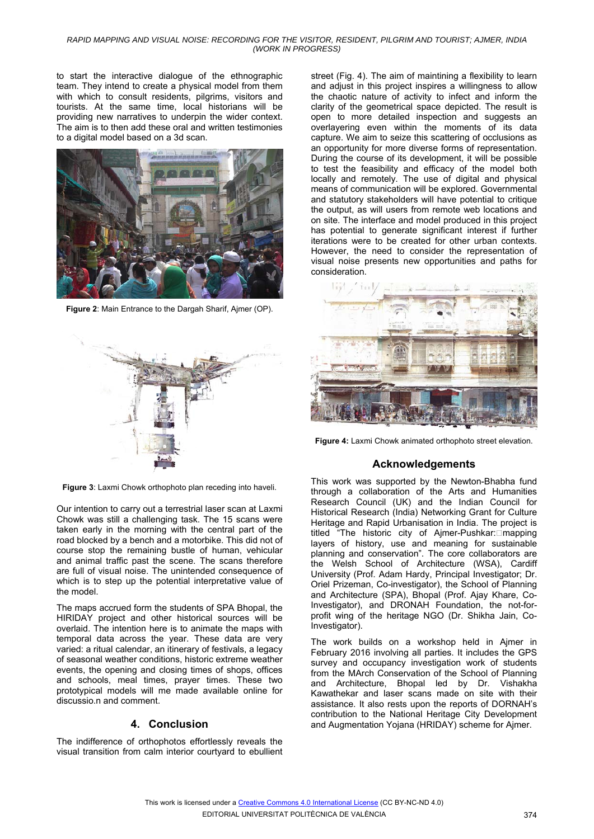#### *RAPID MAPPING AND VISUAL NOISE: RECORDING FOR THE VISITOR, RESIDENT, PILGRIM AND TOURIST; AJMER, INDIA (WORK IN PROGRESS)*

to start the interactive dialogue of the ethnographic team. They intend to create a physical model from them with which to consult residents, pilgrims, visitors and tourists. At the same time, local historians will be providing new narratives to underpin the wider context. The aim is to then add these oral and written testimonies to a digital model based on a 3d scan.



**Figure 2**: Main Entrance to the Dargah Sharif, Ajmer (OP).



**Figure 3**: Laxmi Chowk orthophoto plan receding into haveli.

Our intention to carry out a terrestrial laser scan at Laxmi Chowk was still a challenging task. The 15 scans were taken early in the morning with the central part of the road blocked by a bench and a motorbike. This did not of course stop the remaining bustle of human, vehicular and animal traffic past the scene. The scans therefore are full of visual noise. The unintended consequence of which is to step up the potential interpretative value of the model.

The maps accrued form the students of SPA Bhopal, the HIRIDAY project and other historical sources will be overlaid. The intention here is to animate the maps with temporal data across the year. These data are very varied: a ritual calendar, an itinerary of festivals, a legacy of seasonal weather conditions, historic extreme weather events, the opening and closing times of shops, offices and schools, meal times, prayer times. These two prototypical models will me made available online for discussio.n and comment.

### **4. Conclusion**

The indifference of orthophotos effortlessly reveals the visual transition from calm interior courtyard to ebullient street (Fig. 4). The aim of maintining a flexibility to learn and adjust in this project inspires a willingness to allow the chaotic nature of activity to infect and inform the clarity of the geometrical space depicted. The result is open to more detailed inspection and suggests an overlayering even within the moments of its data capture. We aim to seize this scattering of occlusions as an opportunity for more diverse forms of representation. During the course of its development, it will be possible to test the feasibility and efficacy of the model both locally and remotely. The use of digital and physical means of communication will be explored. Governmental and statutory stakeholders will have potential to critique the output, as will users from remote web locations and on site. The interface and model produced in this project has potential to generate significant interest if further iterations were to be created for other urban contexts. However, the need to consider the representation of visual noise presents new opportunities and paths for consideration.



**Figure 4:** Laxmi Chowk animated orthophoto street elevation.

### **Acknowledgements**

This work was supported by the Newton-Bhabha fund through a collaboration of the Arts and Humanities Research Council (UK) and the Indian Council for Historical Research (India) Networking Grant for Culture Heritage and Rapid Urbanisation in India. The project is titled "The historic city of Ajmer-Pushkar: mapping layers of history, use and meaning for sustainable planning and conservation". The core collaborators are the Welsh School of Architecture (WSA), Cardiff University (Prof. Adam Hardy, Principal Investigator; Dr. Oriel Prizeman, Co-investigator), the School of Planning and Architecture (SPA), Bhopal (Prof. Ajay Khare, Co-Investigator), and DRONAH Foundation, the not-forprofit wing of the heritage NGO (Dr. Shikha Jain, Co-Investigator).

The work builds on a workshop held in Ajmer in February 2016 involving all parties. It includes the GPS survey and occupancy investigation work of students from the MArch Conservation of the School of Planning and Architecture, Bhopal led by Dr. Vishakha Kawathekar and laser scans made on site with their assistance. It also rests upon the reports of DORNAH's contribution to the National Heritage City Development and Augmentation Yojana (HRIDAY) scheme for Ajmer.